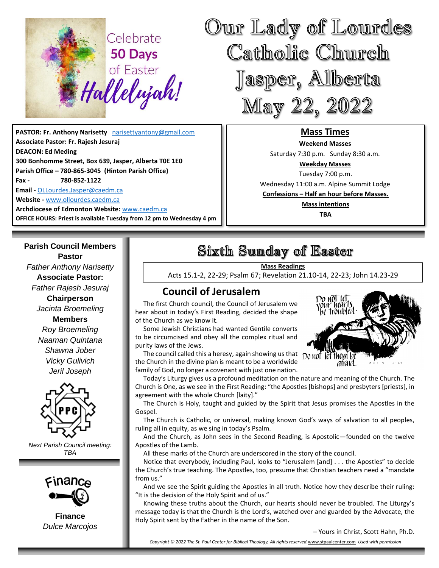

**PASTOR: Fr. Anthony Narisetty** [narisettyantony@gmail.com](mailto:narisettyantony@gmail.com) **Associate Pastor: Fr. Rajesh Jesuraj DEACON: Ed Meding 300 Bonhomme Street, Box 639, Jasper, Alberta T0E 1E0 Parish Office – 780-865-3045 (Hinton Parish Office) Fax - 780-852-1122 Email -** [OLLourdes.Jasper@caedm.ca](mailto:OLLourdes.Jasper@caedm.ca) **Website -** [www.ollourdes.caedm.ca](http://www.ollourdes.caedm.ca/) **Archdiocese of Edmonton Website:** [www.caedm.ca](http://www.caedm.ca/) 

**OFFICE HOURS: Priest is available Tuesday from 12 pm to Wednesday 4 pm**

### **Parish Council Members Pastor**

*Father Anthony Narisetty* **Associate Pastor:**  *Father Rajesh Jesuraj*  **Chairperson** *Jacinta Broemeling* **Members** *Roy Broemeling Naaman Quintana Shawna Jober Vicky Gulivich Jeril Joseph*



*Next Parish Council meeting: TBA*



**Finance** *Dulce Marcojos*

# Sixth Sunday of Easter

**Mass Readings**

Acts 15.1-2, 22-29; Psalm 67; Revelation 21.10-14, 22-23; John 14.23-29

## **Council of Jerusalem**

 The first Church council, the Council of Jerusalem we hear about in today's First Reading, decided the shape of the Church as we know it.

 Some Jewish Christians had wanted Gentile converts to be circumcised and obey all the complex ritual and purity laws of the Jews.

 The council called this a heresy, again showing us that the Church in the divine plan is meant to be a worldwide family of God, no longer a covenant with just one nation.



 Today's Liturgy gives us a profound meditation on the nature and meaning of the Church. The Church is One, as we see in the First Reading: "the Apostles [bishops] and presbyters [priests], in agreement with the whole Church [laity]."

 The Church is Holy, taught and guided by the Spirit that Jesus promises the Apostles in the Gospel.

 The Church is Catholic, or universal, making known God's ways of salvation to all peoples, ruling all in equity, as we sing in today's Psalm.

 And the Church, as John sees in the Second Reading, is Apostolic—founded on the twelve Apostles of the Lamb.

All these marks of the Church are underscored in the story of the council.

 Notice that everybody, including Paul, looks to "Jerusalem [and] . . . the Apostles" to decide the Church's true teaching. The Apostles, too, presume that Christian teachers need a "mandate from us."

 And we see the Spirit guiding the Apostles in all truth. Notice how they describe their ruling: "It is the decision of the Holy Spirit and of us."

 Knowing these truths about the Church, our hearts should never be troubled. The Liturgy's message today is that the Church is the Lord's, watched over and guarded by the Advocate, the Holy Spirit sent by the Father in the name of the Son.

– Yours in Christ, Scott Hahn, Ph.D.

*Copyright © 2022 The St. Paul Center for Biblical Theology, All rights reserved.*[www.stpaulcenter.com](http://www.stpaulcenter.com/) *Used with permission*



**Mass Times Weekend Masses**  Saturday 7:30 p.m. Sunday 8:30 a.m. **Weekday Masses** Tuesday 7:00 p.m. Wednesday 11:00 a.m. Alpine Summit Lodge **Confessions – Half an hour before Masses. Mass intentions TBA**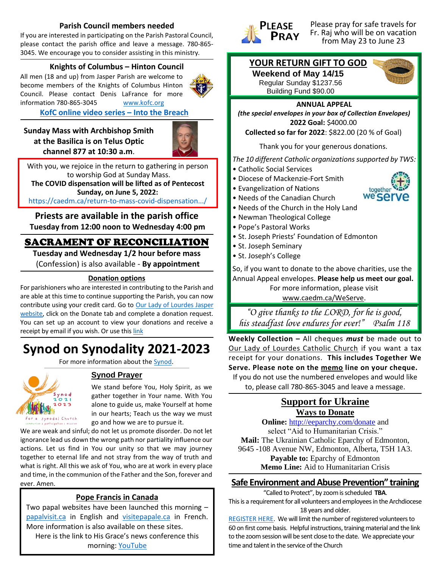#### **Parish Council members needed**

If you are interested in participating on the Parish Pastoral Council, please contact the parish office and leave a message. 780-865- 3045. We encourage you to consider assisting in this ministry*.*

#### **Knights of Columbus – Hinton Council**

All men (18 and up) from Jasper Parish are welcome to become members of the Knights of Columbus Hinton Council. Please contact Denis LaFrance for more information 780-865-3045 [www.kofc.org](http://www.kofc.org/)

#### **[KofC online video series](http://www.kofc.org/intothebreach) – Into the Breach**

**Sunday Mass with Archbishop Smith at the Basilica is on Telus Optic channel 877 at 10:30 a.m**.



With you, we rejoice in the return to gathering in person to worship God at Sunday Mass. **The COVID dispensation will be lifted as of Pentecost Sunday, on June 5, 2022:**

[https://caedm.ca/return-to-mass-covid-dispensation.../](https://caedm.ca/return-to-mass-covid-dispensation-lifted-as-of-pentecost-sunday-june-5-2022/?fbclid=IwAR08SRgOp9R_WKHhiMIEdahnpFjeGTNV4uWgtW1YL9tPc35zD00SlHZqb8w)

### **Priests are available in the parish office Tuesday from 12:00 noon to Wednesday 4:00 pm**

## SACRAMENT OF RECONCILIATION

**Tuesday and Wednesday 1/2 hour before mass**  (Confession) is also available - **By appointment**

#### **Donation options**

For parishioners who are interested in contributing to the Parish and are able at this time to continue supporting the Parish, you can now contribute using your credit card. Go to [Our Lady of Lourdes Jasper](http://www.ollourdes.caedm.ca/)  [website,](http://www.ollourdes.caedm.ca/) click on the Donate tab and complete a donation request. You can set up an account to view your donations and receive a receipt by email if you wish. Or use this [link](https://29956caedm.thankyou4caring.org/donation-page---donations-to-parishes)

# **Synod on Synodality 2021-2023**

For more information about th[e Synod.](https://caedm.ca/synod)



### **Synod Prayer**

We stand before You, Holy Spirit, as we gather together in Your name. With You alone to guide us, make Yourself at home in our hearts; Teach us the way we must go and how we are to pursue it.

We are weak and sinful; do not let us promote disorder. Do not let ignorance lead us down the wrong path nor partiality influence our actions. Let us find in You our unity so that we may journey together to eternal life and not stray from the way of truth and what is right. All this we ask of You, who are at work in every place and time, in the communion of the Father and the Son, forever and ever. Amen.

#### **Pope Francis in Canada**

Two papal websites have been launched this morning – [papalvisit.ca](https://www.papalvisit.ca/) in English and [visitepapale.ca](https://www.visitepapale.ca/) in French. More information is also available on these sites. Here is the link to His Grace's news conference this

morning: [YouTube](https://youtu.be/lTyn89fwbjE)



Please pray for safe travels for Fr. Raj who will be on vacation from May 23 to June 23

### **YOUR RETURN GIFT TO GOD**

**Weekend of May 14/15** Regular Sunday \$1237.56 Building Fund \$90.00



#### **ANNUAL APPEAL**

*(the special envelopes in your box of Collection Envelopes)* **2022 Goal:** \$4000.00

**Collected so far for 2022**: \$822.00 (20 % of Goal)

Thank you for your generous donations.

*The 10 different Catholic organizations supported by TWS:*

- Catholic Social Services
- Diocese of Mackenzie-Fort Smith
- Evangelization of Nations
- Needs of the Canadian Church
- Needs of the Church in the Holy Land
- Newman Theological College
- Pope's Pastoral Works
- St. Joseph Priests' Foundation of Edmonton
- St. Joseph Seminary
- St. Joseph's College

So, if you want to donate to the above charities, use the Annual Appeal envelopes. **Please help us meet our goal.**  For more information, please visit [www.caedm.ca/WeServe.](http://www.caedm.ca/WeServe)

*"O give thanks to the LORD, for he is good,* 

**Weekly Collection –** All cheques *must* be made out to *his steadfast love endures for ever!" Psalm 118*

Our Lady of Lourdes Catholic Church if you want a tax receipt for your donations. **This includes Together We Serve. Please note on the memo line on your cheque.** If you do not use the numbered envelopes and would like

to, please call 780-865-3045 and leave a message.

### **Support for Ukraine Ways to Donate**

**Online:** <http://eeparchy.com/donate> and select "Aid to Humanitarian Crisis." **Mail:** The Ukrainian Catholic Eparchy of Edmonton, 9645 -108 Avenue NW, Edmonton, Alberta, T5H 1A3. **Payable to:** Eparchy of Edmonton **Memo Line:** Aid to Humanitarian Crisis

#### **Safe Environment and Abuse Prevention" training**

"Called to Protect", by zoom is scheduled **TBA**. This is a requirement for all volunteers and employees in the Archdiocese 18 years and older.

[REGISTER HERE.](https://docs.google.com/forms/d/e/1FAIpQLSfxm0jY3snQo1GyamMOEowKeGzX1I_sC9-LaYr5iAg__EyQHw/viewform) We will limit the number of registered volunteers to 60 on first come basis. Helpful instructions, training material and the link to the zoom session will be sent close to the date. We appreciate your time and talent in the service of the Church